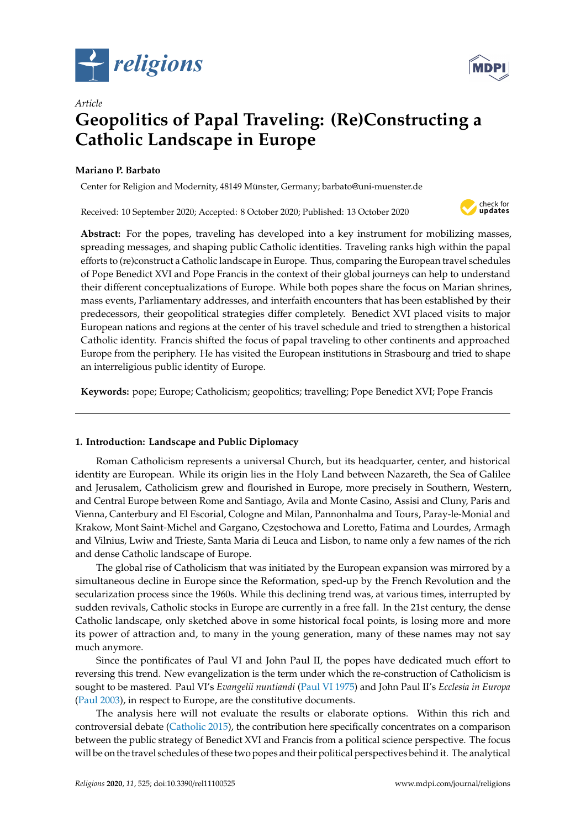



# *Article* **Geopolitics of Papal Traveling: (Re)Constructing a Catholic Landscape in Europe**

# **Mariano P. Barbato**

Center for Religion and Modernity, 48149 Münster, Germany; barbato@uni-muenster.de

Received: 10 September 2020; Accepted: 8 October 2020; Published: 13 October 2020



**Abstract:** For the popes, traveling has developed into a key instrument for mobilizing masses, spreading messages, and shaping public Catholic identities. Traveling ranks high within the papal efforts to (re)construct a Catholic landscape in Europe. Thus, comparing the European travel schedules of Pope Benedict XVI and Pope Francis in the context of their global journeys can help to understand their different conceptualizations of Europe. While both popes share the focus on Marian shrines, mass events, Parliamentary addresses, and interfaith encounters that has been established by their predecessors, their geopolitical strategies differ completely. Benedict XVI placed visits to major European nations and regions at the center of his travel schedule and tried to strengthen a historical Catholic identity. Francis shifted the focus of papal traveling to other continents and approached Europe from the periphery. He has visited the European institutions in Strasbourg and tried to shape an interreligious public identity of Europe.

**Keywords:** pope; Europe; Catholicism; geopolitics; travelling; Pope Benedict XVI; Pope Francis

# **1. Introduction: Landscape and Public Diplomacy**

Roman Catholicism represents a universal Church, but its headquarter, center, and historical identity are European. While its origin lies in the Holy Land between Nazareth, the Sea of Galilee and Jerusalem, Catholicism grew and flourished in Europe, more precisely in Southern, Western, and Central Europe between Rome and Santiago, Avila and Monte Casino, Assisi and Cluny, Paris and Vienna, Canterbury and El Escorial, Cologne and Milan, Pannonhalma and Tours, Paray-le-Monial and Krakow, Mont Saint-Michel and Gargano, Częstochowa and Loretto, Fatima and Lourdes, Armagh and Vilnius, Lwiw and Trieste, Santa Maria di Leuca and Lisbon, to name only a few names of the rich and dense Catholic landscape of Europe.

The global rise of Catholicism that was initiated by the European expansion was mirrored by a simultaneous decline in Europe since the Reformation, sped-up by the French Revolution and the secularization process since the 1960s. While this declining trend was, at various times, interrupted by sudden revivals, Catholic stocks in Europe are currently in a free fall. In the 21st century, the dense Catholic landscape, only sketched above in some historical focal points, is losing more and more its power of attraction and, to many in the young generation, many of these names may not say much anymore.

Since the pontificates of Paul VI and John Paul II, the popes have dedicated much effort to reversing this trend. New evangelization is the term under which the re-construction of Catholicism is sought to be mastered. Paul VI's *Evangelii nuntiandi* [\(Paul VI](#page-16-0) [1975\)](#page-16-0) and John Paul II's *Ecclesia in Europa* [\(Paul](#page-16-1) [2003\)](#page-16-1), in respect to Europe, are the constitutive documents.

The analysis here will not evaluate the results or elaborate options. Within this rich and controversial debate [\(Catholic](#page-15-0) [2015\)](#page-15-0), the contribution here specifically concentrates on a comparison between the public strategy of Benedict XVI and Francis from a political science perspective. The focus will be on the travel schedules of these two popes and their political perspectives behind it. The analytical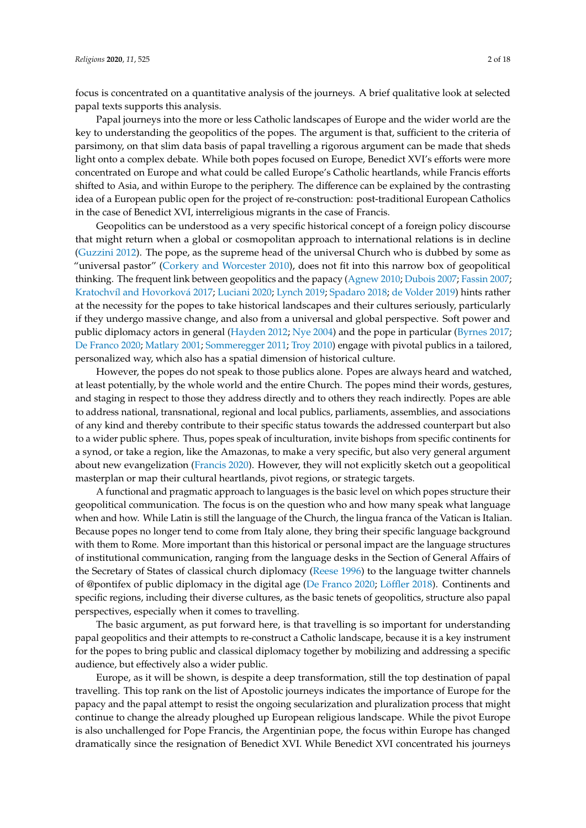focus is concentrated on a quantitative analysis of the journeys. A brief qualitative look at selected papal texts supports this analysis.

Papal journeys into the more or less Catholic landscapes of Europe and the wider world are the key to understanding the geopolitics of the popes. The argument is that, sufficient to the criteria of parsimony, on that slim data basis of papal travelling a rigorous argument can be made that sheds light onto a complex debate. While both popes focused on Europe, Benedict XVI's efforts were more concentrated on Europe and what could be called Europe's Catholic heartlands, while Francis efforts shifted to Asia, and within Europe to the periphery. The difference can be explained by the contrasting idea of a European public open for the project of re-construction: post-traditional European Catholics in the case of Benedict XVI, interreligious migrants in the case of Francis.

Geopolitics can be understood as a very specific historical concept of a foreign policy discourse that might return when a global or cosmopolitan approach to international relations is in decline [\(Guzzini](#page-16-2) [2012\)](#page-16-2). The pope, as the supreme head of the universal Church who is dubbed by some as "universal pastor" [\(Corkery and Worcester](#page-15-1) [2010\)](#page-15-1), does not fit into this narrow box of geopolitical thinking. The frequent link between geopolitics and the papacy [\(Agnew](#page-15-2) [2010;](#page-15-2) [Dubois](#page-15-3) [2007;](#page-15-3) [Fassin](#page-15-4) [2007;](#page-15-4) Kratochví[l and Hovorkov](#page-16-3)á [2017;](#page-16-3) [Luciani](#page-16-4) [2020;](#page-16-4) [Lynch](#page-16-5) [2019;](#page-16-5) [Spadaro](#page-16-6) [2018;](#page-16-6) [de Volder](#page-17-0) [2019\)](#page-17-0) hints rather at the necessity for the popes to take historical landscapes and their cultures seriously, particularly if they undergo massive change, and also from a universal and global perspective. Soft power and public diplomacy actors in general [\(Hayden](#page-16-7) [2012;](#page-16-7) [Nye](#page-16-8) [2004\)](#page-16-8) and the pope in particular [\(Byrnes](#page-15-5) [2017;](#page-15-5) [De Franco](#page-15-6) [2020;](#page-15-6) [Matlary](#page-16-9) [2001;](#page-16-9) [Sommeregger](#page-16-10) [2011;](#page-16-10) [Troy](#page-17-1) [2010\)](#page-17-1) engage with pivotal publics in a tailored, personalized way, which also has a spatial dimension of historical culture.

However, the popes do not speak to those publics alone. Popes are always heard and watched, at least potentially, by the whole world and the entire Church. The popes mind their words, gestures, and staging in respect to those they address directly and to others they reach indirectly. Popes are able to address national, transnational, regional and local publics, parliaments, assemblies, and associations of any kind and thereby contribute to their specific status towards the addressed counterpart but also to a wider public sphere. Thus, popes speak of inculturation, invite bishops from specific continents for a synod, or take a region, like the Amazonas, to make a very specific, but also very general argument about new evangelization [\(Francis](#page-16-11) [2020\)](#page-16-11). However, they will not explicitly sketch out a geopolitical masterplan or map their cultural heartlands, pivot regions, or strategic targets.

A functional and pragmatic approach to languages is the basic level on which popes structure their geopolitical communication. The focus is on the question who and how many speak what language when and how. While Latin is still the language of the Church, the lingua franca of the Vatican is Italian. Because popes no longer tend to come from Italy alone, they bring their specific language background with them to Rome. More important than this historical or personal impact are the language structures of institutional communication, ranging from the language desks in the Section of General Affairs of the Secretary of States of classical church diplomacy [\(Reese](#page-16-12) [1996\)](#page-16-12) to the language twitter channels of @pontifex of public diplomacy in the digital age [\(De Franco](#page-15-6) [2020;](#page-15-6) [Lö](#page-16-13)ffler [2018\)](#page-16-13). Continents and specific regions, including their diverse cultures, as the basic tenets of geopolitics, structure also papal perspectives, especially when it comes to travelling.

The basic argument, as put forward here, is that travelling is so important for understanding papal geopolitics and their attempts to re-construct a Catholic landscape, because it is a key instrument for the popes to bring public and classical diplomacy together by mobilizing and addressing a specific audience, but effectively also a wider public.

Europe, as it will be shown, is despite a deep transformation, still the top destination of papal travelling. This top rank on the list of Apostolic journeys indicates the importance of Europe for the papacy and the papal attempt to resist the ongoing secularization and pluralization process that might continue to change the already ploughed up European religious landscape. While the pivot Europe is also unchallenged for Pope Francis, the Argentinian pope, the focus within Europe has changed dramatically since the resignation of Benedict XVI. While Benedict XVI concentrated his journeys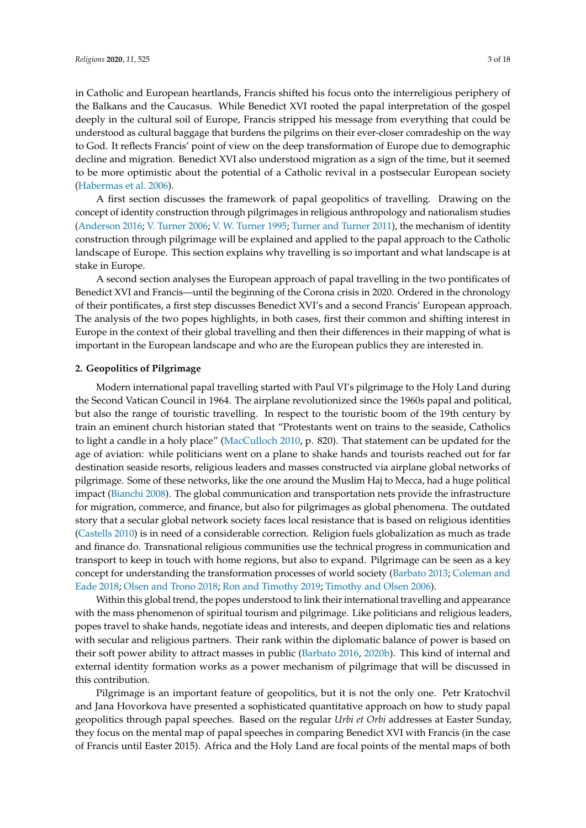in Catholic and European heartlands, Francis shifted his focus onto the interreligious periphery of the Balkans and the Caucasus. While Benedict XVI rooted the papal interpretation of the gospel deeply in the cultural soil of Europe, Francis stripped his message from everything that could be understood as cultural baggage that burdens the pilgrims on their ever-closer comradeship on the way to God. It reflects Francis' point of view on the deep transformation of Europe due to demographic decline and migration. Benedict XVI also understood migration as a sign of the time, but it seemed to be more optimistic about the potential of a Catholic revival in a postsecular European society [\(Habermas et al.](#page-16-14) [2006\)](#page-16-14).

A first section discusses the framework of papal geopolitics of travelling. Drawing on the concept of identity construction through pilgrimages in religious anthropology and nationalism studies [\(Anderson](#page-15-7) [2016;](#page-15-7) [V. Turner](#page-17-2) [2006;](#page-17-2) [V. W. Turner](#page-17-3) [1995;](#page-17-3) [Turner and Turner](#page-17-4) [2011\)](#page-17-4), the mechanism of identity construction through pilgrimage will be explained and applied to the papal approach to the Catholic landscape of Europe. This section explains why travelling is so important and what landscape is at stake in Europe.

A second section analyses the European approach of papal travelling in the two pontificates of Benedict XVI and Francis—until the beginning of the Corona crisis in 2020. Ordered in the chronology of their pontificates, a first step discusses Benedict XVI's and a second Francis' European approach. The analysis of the two popes highlights, in both cases, first their common and shifting interest in Europe in the context of their global travelling and then their differences in their mapping of what is important in the European landscape and who are the European publics they are interested in.

## **2. Geopolitics of Pilgrimage**

Modern international papal travelling started with Paul VI's pilgrimage to the Holy Land during the Second Vatican Council in 1964. The airplane revolutionized since the 1960s papal and political, but also the range of touristic travelling. In respect to the touristic boom of the 19th century by train an eminent church historian stated that "Protestants went on trains to the seaside, Catholics to light a candle in a holy place" [\(MacCulloch](#page-16-15) [2010,](#page-16-15) p. 820). That statement can be updated for the age of aviation: while politicians went on a plane to shake hands and tourists reached out for far destination seaside resorts, religious leaders and masses constructed via airplane global networks of pilgrimage. Some of these networks, like the one around the Muslim Haj to Mecca, had a huge political impact [\(Bianchi](#page-15-8) [2008\)](#page-15-8). The global communication and transportation nets provide the infrastructure for migration, commerce, and finance, but also for pilgrimages as global phenomena. The outdated story that a secular global network society faces local resistance that is based on religious identities [\(Castells](#page-15-9) [2010\)](#page-15-9) is in need of a considerable correction. Religion fuels globalization as much as trade and finance do. Transnational religious communities use the technical progress in communication and transport to keep in touch with home regions, but also to expand. Pilgrimage can be seen as a key concept for understanding the transformation processes of world society [\(Barbato](#page-15-10) [2013;](#page-15-10) [Coleman and](#page-15-11) [Eade](#page-15-11) [2018;](#page-15-11) [Olsen and Trono](#page-16-16) [2018;](#page-16-16) [Ron and Timothy](#page-16-17) [2019;](#page-16-17) [Timothy and Olsen](#page-17-5) [2006\)](#page-17-5).

Within this global trend, the popes understood to link their international travelling and appearance with the mass phenomenon of spiritual tourism and pilgrimage. Like politicians and religious leaders, popes travel to shake hands, negotiate ideas and interests, and deepen diplomatic ties and relations with secular and religious partners. Their rank within the diplomatic balance of power is based on their soft power ability to attract masses in public [\(Barbato](#page-15-12) [2016,](#page-15-12) [2020b\)](#page-15-13). This kind of internal and external identity formation works as a power mechanism of pilgrimage that will be discussed in this contribution.

Pilgrimage is an important feature of geopolitics, but it is not the only one. Petr Kratochvil and Jana Hovorkova have presented a sophisticated quantitative approach on how to study papal geopolitics through papal speeches. Based on the regular *Urbi et Orbi* addresses at Easter Sunday, they focus on the mental map of papal speeches in comparing Benedict XVI with Francis (in the case of Francis until Easter 2015). Africa and the Holy Land are focal points of the mental maps of both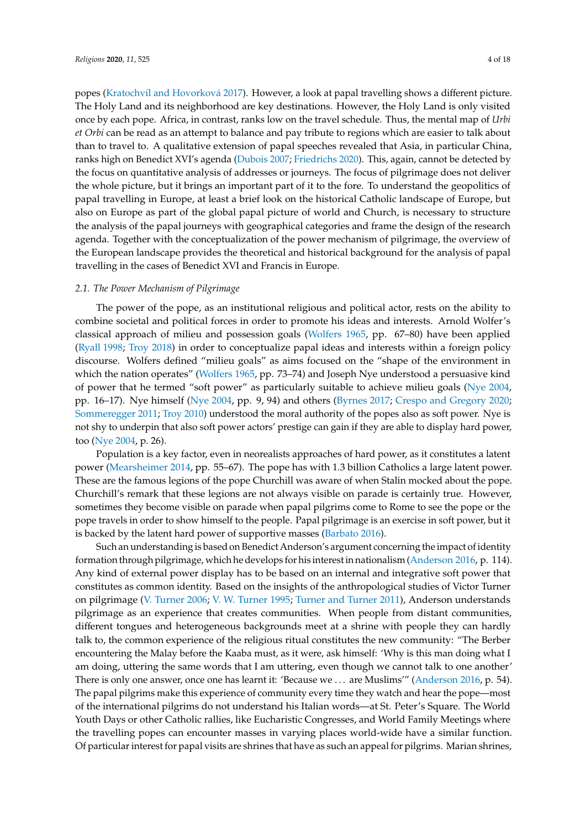popes (Kratochví[l and Hovorkov](#page-16-3)á [2017\)](#page-16-3). However, a look at papal travelling shows a different picture. The Holy Land and its neighborhood are key destinations. However, the Holy Land is only visited once by each pope. Africa, in contrast, ranks low on the travel schedule. Thus, the mental map of *Urbi et Orbi* can be read as an attempt to balance and pay tribute to regions which are easier to talk about than to travel to. A qualitative extension of papal speeches revealed that Asia, in particular China, ranks high on Benedict XVI's agenda [\(Dubois](#page-15-3) [2007;](#page-15-3) [Friedrichs](#page-16-18) [2020\)](#page-16-18). This, again, cannot be detected by the focus on quantitative analysis of addresses or journeys. The focus of pilgrimage does not deliver the whole picture, but it brings an important part of it to the fore. To understand the geopolitics of papal travelling in Europe, at least a brief look on the historical Catholic landscape of Europe, but also on Europe as part of the global papal picture of world and Church, is necessary to structure the analysis of the papal journeys with geographical categories and frame the design of the research agenda. Together with the conceptualization of the power mechanism of pilgrimage, the overview of the European landscape provides the theoretical and historical background for the analysis of papal travelling in the cases of Benedict XVI and Francis in Europe.

#### *2.1. The Power Mechanism of Pilgrimage*

The power of the pope, as an institutional religious and political actor, rests on the ability to combine societal and political forces in order to promote his ideas and interests. Arnold Wolfer's classical approach of milieu and possession goals [\(Wolfers](#page-17-6) [1965,](#page-17-6) pp. 67–80) have been applied [\(Ryall](#page-16-19) [1998;](#page-16-19) [Troy](#page-17-7) [2018\)](#page-17-7) in order to conceptualize papal ideas and interests within a foreign policy discourse. Wolfers defined "milieu goals" as aims focused on the "shape of the environment in which the nation operates" [\(Wolfers](#page-17-6) [1965,](#page-17-6) pp. 73–74) and Joseph Nye understood a persuasive kind of power that he termed "soft power" as particularly suitable to achieve milieu goals [\(Nye](#page-16-8) [2004,](#page-16-8) pp. 16–17). Nye himself [\(Nye](#page-16-8) [2004,](#page-16-8) pp. 9, 94) and others [\(Byrnes](#page-15-5) [2017;](#page-15-5) [Crespo and Gregory](#page-15-14) [2020;](#page-15-14) [Sommeregger](#page-16-10) [2011;](#page-16-10) [Troy](#page-17-1) [2010\)](#page-17-1) understood the moral authority of the popes also as soft power. Nye is not shy to underpin that also soft power actors' prestige can gain if they are able to display hard power, too [\(Nye](#page-16-8) [2004,](#page-16-8) p. 26).

Population is a key factor, even in neorealists approaches of hard power, as it constitutes a latent power [\(Mearsheimer](#page-16-20) [2014,](#page-16-20) pp. 55–67). The pope has with 1.3 billion Catholics a large latent power. These are the famous legions of the pope Churchill was aware of when Stalin mocked about the pope. Churchill's remark that these legions are not always visible on parade is certainly true. However, sometimes they become visible on parade when papal pilgrims come to Rome to see the pope or the pope travels in order to show himself to the people. Papal pilgrimage is an exercise in soft power, but it is backed by the latent hard power of supportive masses [\(Barbato](#page-15-12) [2016\)](#page-15-12).

Such an understanding is based on Benedict Anderson's argument concerning the impact of identity formation through pilgrimage, which he develops for his interest in nationalism [\(Anderson](#page-15-7) [2016,](#page-15-7) p. 114). Any kind of external power display has to be based on an internal and integrative soft power that constitutes as common identity. Based on the insights of the anthropological studies of Victor Turner on pilgrimage [\(V. Turner](#page-17-2) [2006;](#page-17-2) [V. W. Turner](#page-17-3) [1995;](#page-17-3) [Turner and Turner](#page-17-4) [2011\)](#page-17-4), Anderson understands pilgrimage as an experience that creates communities. When people from distant communities, different tongues and heterogeneous backgrounds meet at a shrine with people they can hardly talk to, the common experience of the religious ritual constitutes the new community: "The Berber encountering the Malay before the Kaaba must, as it were, ask himself: 'Why is this man doing what I am doing, uttering the same words that I am uttering, even though we cannot talk to one another' There is only one answer, once one has learnt it: 'Because we . . . are Muslims'" [\(Anderson](#page-15-7) [2016,](#page-15-7) p. 54). The papal pilgrims make this experience of community every time they watch and hear the pope—most of the international pilgrims do not understand his Italian words—at St. Peter's Square. The World Youth Days or other Catholic rallies, like Eucharistic Congresses, and World Family Meetings where the travelling popes can encounter masses in varying places world-wide have a similar function. Of particular interest for papal visits are shrines that have as such an appeal for pilgrims. Marian shrines,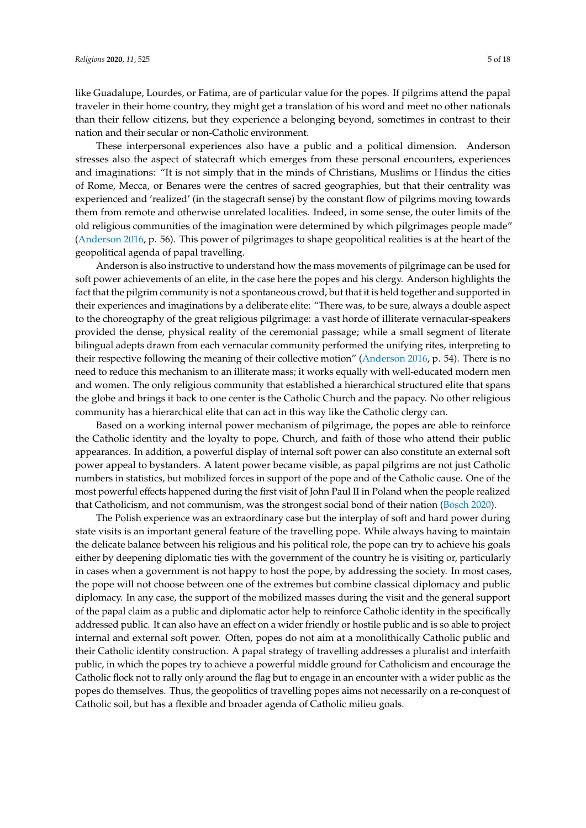like Guadalupe, Lourdes, or Fatima, are of particular value for the popes. If pilgrims attend the papal traveler in their home country, they might get a translation of his word and meet no other nationals than their fellow citizens, but they experience a belonging beyond, sometimes in contrast to their nation and their secular or non-Catholic environment.

These interpersonal experiences also have a public and a political dimension. Anderson stresses also the aspect of statecraft which emerges from these personal encounters, experiences and imaginations: "It is not simply that in the minds of Christians, Muslims or Hindus the cities of Rome, Mecca, or Benares were the centres of sacred geographies, but that their centrality was experienced and 'realized' (in the stagecraft sense) by the constant flow of pilgrims moving towards them from remote and otherwise unrelated localities. Indeed, in some sense, the outer limits of the old religious communities of the imagination were determined by which pilgrimages people made" [\(Anderson](#page-15-7) [2016,](#page-15-7) p. 56). This power of pilgrimages to shape geopolitical realities is at the heart of the geopolitical agenda of papal travelling.

Anderson is also instructive to understand how the mass movements of pilgrimage can be used for soft power achievements of an elite, in the case here the popes and his clergy. Anderson highlights the fact that the pilgrim community is not a spontaneous crowd, but that it is held together and supported in their experiences and imaginations by a deliberate elite: "There was, to be sure, always a double aspect to the choreography of the great religious pilgrimage: a vast horde of illiterate vernacular-speakers provided the dense, physical reality of the ceremonial passage; while a small segment of literate bilingual adepts drawn from each vernacular community performed the unifying rites, interpreting to their respective following the meaning of their collective motion" [\(Anderson](#page-15-7) [2016,](#page-15-7) p. 54). There is no need to reduce this mechanism to an illiterate mass; it works equally with well-educated modern men and women. The only religious community that established a hierarchical structured elite that spans the globe and brings it back to one center is the Catholic Church and the papacy. No other religious community has a hierarchical elite that can act in this way like the Catholic clergy can.

Based on a working internal power mechanism of pilgrimage, the popes are able to reinforce the Catholic identity and the loyalty to pope, Church, and faith of those who attend their public appearances. In addition, a powerful display of internal soft power can also constitute an external soft power appeal to bystanders. A latent power became visible, as papal pilgrims are not just Catholic numbers in statistics, but mobilized forces in support of the pope and of the Catholic cause. One of the most powerful effects happened during the first visit of John Paul II in Poland when the people realized that Catholicism, and not communism, was the strongest social bond of their nation [\(Bösch](#page-15-15) [2020\)](#page-15-15).

The Polish experience was an extraordinary case but the interplay of soft and hard power during state visits is an important general feature of the travelling pope. While always having to maintain the delicate balance between his religious and his political role, the pope can try to achieve his goals either by deepening diplomatic ties with the government of the country he is visiting or, particularly in cases when a government is not happy to host the pope, by addressing the society. In most cases, the pope will not choose between one of the extremes but combine classical diplomacy and public diplomacy. In any case, the support of the mobilized masses during the visit and the general support of the papal claim as a public and diplomatic actor help to reinforce Catholic identity in the specifically addressed public. It can also have an effect on a wider friendly or hostile public and is so able to project internal and external soft power. Often, popes do not aim at a monolithically Catholic public and their Catholic identity construction. A papal strategy of travelling addresses a pluralist and interfaith public, in which the popes try to achieve a powerful middle ground for Catholicism and encourage the Catholic flock not to rally only around the flag but to engage in an encounter with a wider public as the popes do themselves. Thus, the geopolitics of travelling popes aims not necessarily on a re-conquest of Catholic soil, but has a flexible and broader agenda of Catholic milieu goals.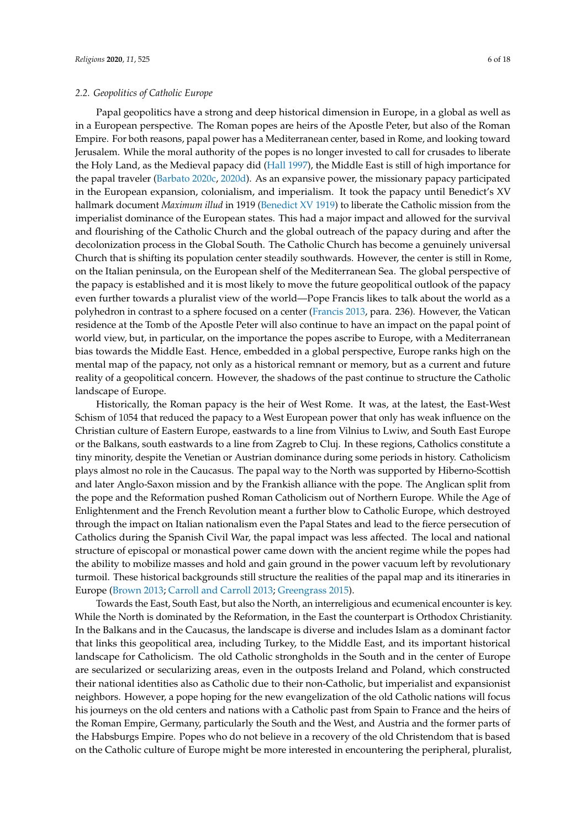### *2.2. Geopolitics of Catholic Europe*

Papal geopolitics have a strong and deep historical dimension in Europe, in a global as well as in a European perspective. The Roman popes are heirs of the Apostle Peter, but also of the Roman Empire. For both reasons, papal power has a Mediterranean center, based in Rome, and looking toward Jerusalem. While the moral authority of the popes is no longer invested to call for crusades to liberate the Holy Land, as the Medieval papacy did [\(Hall](#page-16-21) [1997\)](#page-16-21), the Middle East is still of high importance for the papal traveler [\(Barbato](#page-15-16) [2020c,](#page-15-16) [2020d\)](#page-15-17). As an expansive power, the missionary papacy participated in the European expansion, colonialism, and imperialism. It took the papacy until Benedict's XV hallmark document *Maximum illud* in 1919 [\(Benedict XV](#page-15-18) [1919\)](#page-15-18) to liberate the Catholic mission from the imperialist dominance of the European states. This had a major impact and allowed for the survival and flourishing of the Catholic Church and the global outreach of the papacy during and after the decolonization process in the Global South. The Catholic Church has become a genuinely universal Church that is shifting its population center steadily southwards. However, the center is still in Rome, on the Italian peninsula, on the European shelf of the Mediterranean Sea. The global perspective of the papacy is established and it is most likely to move the future geopolitical outlook of the papacy even further towards a pluralist view of the world—Pope Francis likes to talk about the world as a polyhedron in contrast to a sphere focused on a center [\(Francis](#page-15-19) [2013,](#page-15-19) para. 236). However, the Vatican residence at the Tomb of the Apostle Peter will also continue to have an impact on the papal point of world view, but, in particular, on the importance the popes ascribe to Europe, with a Mediterranean bias towards the Middle East. Hence, embedded in a global perspective, Europe ranks high on the mental map of the papacy, not only as a historical remnant or memory, but as a current and future reality of a geopolitical concern. However, the shadows of the past continue to structure the Catholic landscape of Europe.

Historically, the Roman papacy is the heir of West Rome. It was, at the latest, the East-West Schism of 1054 that reduced the papacy to a West European power that only has weak influence on the Christian culture of Eastern Europe, eastwards to a line from Vilnius to Lwiw, and South East Europe or the Balkans, south eastwards to a line from Zagreb to Cluj. In these regions, Catholics constitute a tiny minority, despite the Venetian or Austrian dominance during some periods in history. Catholicism plays almost no role in the Caucasus. The papal way to the North was supported by Hiberno-Scottish and later Anglo-Saxon mission and by the Frankish alliance with the pope. The Anglican split from the pope and the Reformation pushed Roman Catholicism out of Northern Europe. While the Age of Enlightenment and the French Revolution meant a further blow to Catholic Europe, which destroyed through the impact on Italian nationalism even the Papal States and lead to the fierce persecution of Catholics during the Spanish Civil War, the papal impact was less affected. The local and national structure of episcopal or monastical power came down with the ancient regime while the popes had the ability to mobilize masses and hold and gain ground in the power vacuum left by revolutionary turmoil. These historical backgrounds still structure the realities of the papal map and its itineraries in Europe [\(Brown](#page-15-20) [2013;](#page-15-20) [Carroll and Carroll](#page-15-21) [2013;](#page-15-21) [Greengrass](#page-16-22) [2015\)](#page-16-22).

Towards the East, South East, but also the North, an interreligious and ecumenical encounter is key. While the North is dominated by the Reformation, in the East the counterpart is Orthodox Christianity. In the Balkans and in the Caucasus, the landscape is diverse and includes Islam as a dominant factor that links this geopolitical area, including Turkey, to the Middle East, and its important historical landscape for Catholicism. The old Catholic strongholds in the South and in the center of Europe are secularized or secularizing areas, even in the outposts Ireland and Poland, which constructed their national identities also as Catholic due to their non-Catholic, but imperialist and expansionist neighbors. However, a pope hoping for the new evangelization of the old Catholic nations will focus his journeys on the old centers and nations with a Catholic past from Spain to France and the heirs of the Roman Empire, Germany, particularly the South and the West, and Austria and the former parts of the Habsburgs Empire. Popes who do not believe in a recovery of the old Christendom that is based on the Catholic culture of Europe might be more interested in encountering the peripheral, pluralist,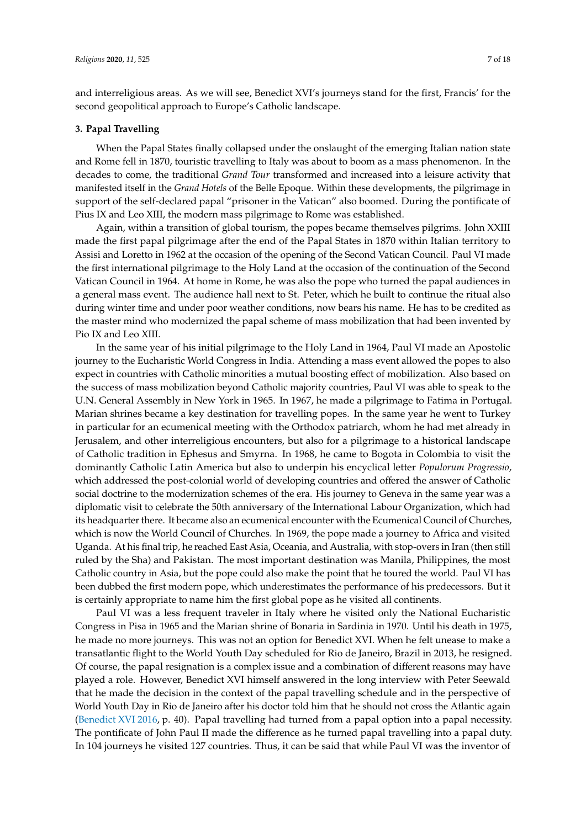and interreligious areas. As we will see, Benedict XVI's journeys stand for the first, Francis' for the second geopolitical approach to Europe's Catholic landscape.

#### **3. Papal Travelling**

When the Papal States finally collapsed under the onslaught of the emerging Italian nation state and Rome fell in 1870, touristic travelling to Italy was about to boom as a mass phenomenon. In the decades to come, the traditional *Grand Tour* transformed and increased into a leisure activity that manifested itself in the *Grand Hotels* of the Belle Epoque. Within these developments, the pilgrimage in support of the self-declared papal "prisoner in the Vatican" also boomed. During the pontificate of Pius IX and Leo XIII, the modern mass pilgrimage to Rome was established.

Again, within a transition of global tourism, the popes became themselves pilgrims. John XXIII made the first papal pilgrimage after the end of the Papal States in 1870 within Italian territory to Assisi and Loretto in 1962 at the occasion of the opening of the Second Vatican Council. Paul VI made the first international pilgrimage to the Holy Land at the occasion of the continuation of the Second Vatican Council in 1964. At home in Rome, he was also the pope who turned the papal audiences in a general mass event. The audience hall next to St. Peter, which he built to continue the ritual also during winter time and under poor weather conditions, now bears his name. He has to be credited as the master mind who modernized the papal scheme of mass mobilization that had been invented by Pio IX and Leo XIII.

In the same year of his initial pilgrimage to the Holy Land in 1964, Paul VI made an Apostolic journey to the Eucharistic World Congress in India. Attending a mass event allowed the popes to also expect in countries with Catholic minorities a mutual boosting effect of mobilization. Also based on the success of mass mobilization beyond Catholic majority countries, Paul VI was able to speak to the U.N. General Assembly in New York in 1965. In 1967, he made a pilgrimage to Fatima in Portugal. Marian shrines became a key destination for travelling popes. In the same year he went to Turkey in particular for an ecumenical meeting with the Orthodox patriarch, whom he had met already in Jerusalem, and other interreligious encounters, but also for a pilgrimage to a historical landscape of Catholic tradition in Ephesus and Smyrna. In 1968, he came to Bogota in Colombia to visit the dominantly Catholic Latin America but also to underpin his encyclical letter *Populorum Progressio*, which addressed the post-colonial world of developing countries and offered the answer of Catholic social doctrine to the modernization schemes of the era. His journey to Geneva in the same year was a diplomatic visit to celebrate the 50th anniversary of the International Labour Organization, which had its headquarter there. It became also an ecumenical encounter with the Ecumenical Council of Churches, which is now the World Council of Churches. In 1969, the pope made a journey to Africa and visited Uganda. At his final trip, he reached East Asia, Oceania, and Australia, with stop-overs in Iran (then still ruled by the Sha) and Pakistan. The most important destination was Manila, Philippines, the most Catholic country in Asia, but the pope could also make the point that he toured the world. Paul VI has been dubbed the first modern pope, which underestimates the performance of his predecessors. But it is certainly appropriate to name him the first global pope as he visited all continents.

Paul VI was a less frequent traveler in Italy where he visited only the National Eucharistic Congress in Pisa in 1965 and the Marian shrine of Bonaria in Sardinia in 1970. Until his death in 1975, he made no more journeys. This was not an option for Benedict XVI. When he felt unease to make a transatlantic flight to the World Youth Day scheduled for Rio de Janeiro, Brazil in 2013, he resigned. Of course, the papal resignation is a complex issue and a combination of different reasons may have played a role. However, Benedict XVI himself answered in the long interview with Peter Seewald that he made the decision in the context of the papal travelling schedule and in the perspective of World Youth Day in Rio de Janeiro after his doctor told him that he should not cross the Atlantic again [\(Benedict XVI](#page-15-22) [2016,](#page-15-22) p. 40). Papal travelling had turned from a papal option into a papal necessity. The pontificate of John Paul II made the difference as he turned papal travelling into a papal duty. In 104 journeys he visited 127 countries. Thus, it can be said that while Paul VI was the inventor of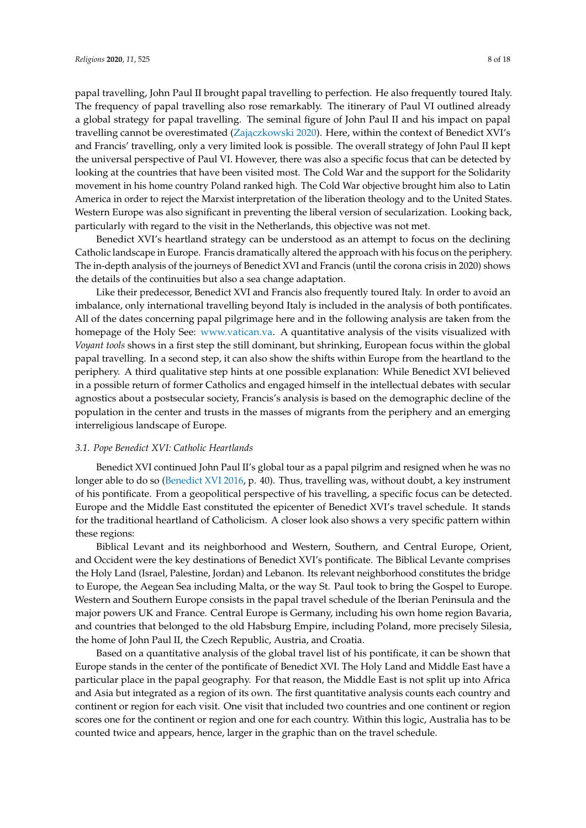papal travelling, John Paul II brought papal travelling to perfection. He also frequently toured Italy. The frequency of papal travelling also rose remarkably. The itinerary of Paul VI outlined already a global strategy for papal travelling. The seminal figure of John Paul II and his impact on papal travelling cannot be overestimated (Zajączkowski [2020\)](#page-17-8). Here, within the context of Benedict XVI's and Francis' travelling, only a very limited look is possible. The overall strategy of John Paul II kept the universal perspective of Paul VI. However, there was also a specific focus that can be detected by looking at the countries that have been visited most. The Cold War and the support for the Solidarity movement in his home country Poland ranked high. The Cold War objective brought him also to Latin America in order to reject the Marxist interpretation of the liberation theology and to the United States. Western Europe was also significant in preventing the liberal version of secularization. Looking back, particularly with regard to the visit in the Netherlands, this objective was not met.

Benedict XVI's heartland strategy can be understood as an attempt to focus on the declining Catholic landscape in Europe. Francis dramatically altered the approach with his focus on the periphery. The in-depth analysis of the journeys of Benedict XVI and Francis (until the corona crisis in 2020) shows the details of the continuities but also a sea change adaptation.

Like their predecessor, Benedict XVI and Francis also frequently toured Italy. In order to avoid an imbalance, only international travelling beyond Italy is included in the analysis of both pontificates. All of the dates concerning papal pilgrimage here and in the following analysis are taken from the homepage of the Holy See: [www.vatican.va.](www.vatican.va) A quantitative analysis of the visits visualized with *Voyant tools* shows in a first step the still dominant, but shrinking, European focus within the global papal travelling. In a second step, it can also show the shifts within Europe from the heartland to the periphery. A third qualitative step hints at one possible explanation: While Benedict XVI believed in a possible return of former Catholics and engaged himself in the intellectual debates with secular agnostics about a postsecular society, Francis's analysis is based on the demographic decline of the population in the center and trusts in the masses of migrants from the periphery and an emerging interreligious landscape of Europe.

# *3.1. Pope Benedict XVI: Catholic Heartlands*

Benedict XVI continued John Paul II's global tour as a papal pilgrim and resigned when he was no longer able to do so [\(Benedict XVI](#page-15-22) [2016,](#page-15-22) p. 40). Thus, travelling was, without doubt, a key instrument of his pontificate. From a geopolitical perspective of his travelling, a specific focus can be detected. Europe and the Middle East constituted the epicenter of Benedict XVI's travel schedule. It stands for the traditional heartland of Catholicism. A closer look also shows a very specific pattern within these regions:

Biblical Levant and its neighborhood and Western, Southern, and Central Europe, Orient, and Occident were the key destinations of Benedict XVI's pontificate. The Biblical Levante comprises the Holy Land (Israel, Palestine, Jordan) and Lebanon. Its relevant neighborhood constitutes the bridge to Europe, the Aegean Sea including Malta, or the way St. Paul took to bring the Gospel to Europe. Western and Southern Europe consists in the papal travel schedule of the Iberian Peninsula and the major powers UK and France. Central Europe is Germany, including his own home region Bavaria, and countries that belonged to the old Habsburg Empire, including Poland, more precisely Silesia, the home of John Paul II, the Czech Republic, Austria, and Croatia.

Based on a quantitative analysis of the global travel list of his pontificate, it can be shown that Europe stands in the center of the pontificate of Benedict XVI. The Holy Land and Middle East have a particular place in the papal geography. For that reason, the Middle East is not split up into Africa and Asia but integrated as a region of its own. The first quantitative analysis counts each country and continent or region for each visit. One visit that included two countries and one continent or region scores one for the continent or region and one for each country. Within this logic, Australia has to be counted twice and appears, hence, larger in the graphic than on the travel schedule.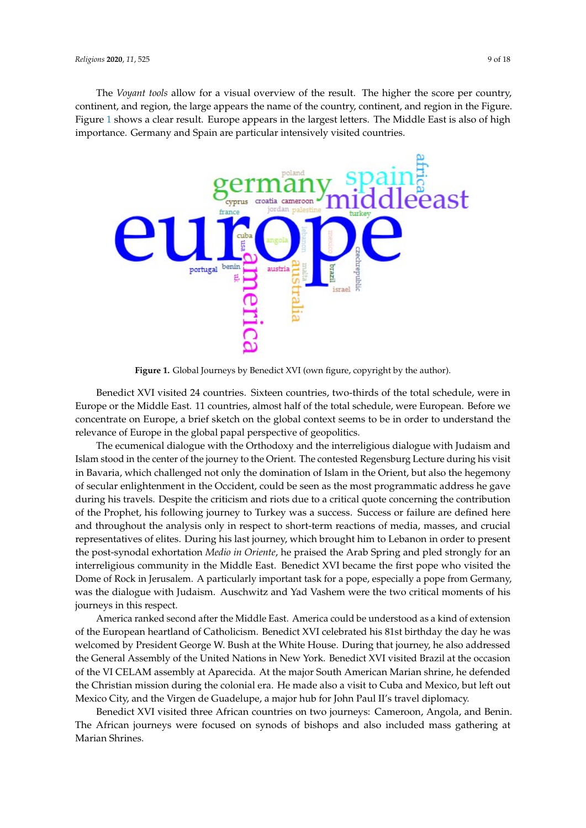The *Voyant tools* allow for a visual overview of the result. The higher the score per country, continent, and region, the large appears the name of the country, continent, and region in the Figure. Figure [1](#page-8-0) shows a clear result. Europe appears in the largest letters. The Middle East is also of high importance. Germany and Spain are particular intensively visited countries.

<span id="page-8-0"></span>

**Figure 1.** Global Journeys by Benedict XVI (own figure, copyright by the author). **Figure 1.** Global Journeys by Benedict XVI (own figure, copyright by the author).

Benedict XVI visited 24 countries. Sixteen countries, two-thirds of the total schedule, were in Europe or the Middle East. 11 countries, almost half of the total schedule, were European. Before we Europe or the Middle East. 11 countries, almost half of the total schedule, were European. Before we concentrate on Europe, a brief sketch on the global context seems to be in order to understand the relevance of Europe in the global papal perspective of geopolitics. Benedict XVI visited 24 countries. Sixteen countries, two-thirds of the total schedule, were in relevance of Europe in the global papal perspective of geopolitics.

The ecumenical dialogue with the Orthodoxy and the interreligious dialogue with Judaism and The ecumenical dialogue with the Orthodoxy and the interreligious dialogue with Judaism and Islam stood in the center of the journey to the Orient. The contested Regensburg Lecture during his in Bavaria, which challenged not only the domination of Islam in the Orient, but also the hegemony hegemony of secular enlightenment in the Occident, could be seen as the most programmatic address during his travels. Despite the criticism and riots due to a critical quote concerning the contribution of the Prophet, his following journey to Turkey was a success. Success or failure are defined here and throughout the analysis only in respect to short-term reactions of media, masses, and crucial and throughout the analysis only in respect to short-term reactions of media, masses, and crucial representatives of elites. During his last journey, which brought him to Lebanon in order to present the post-synodal exhortation *Medio in Oriente*, he praised the Arab Spring and pled strongly for an interreligious community in the Middle East. Benedict XVI became the first pope who visited the Dome of Rock in Jerusalem. A particularly important task for a pope, especially a pope from Germany, was the dialogue with Judaism. Auschwitz and Yad Vashem were the two critical moments of his journeys in this respect. Islam stood in the center of the journey to the Orient. The contested Regensburg Lecture during his visit of secular enlightenment in the Occident, could be seen as the most programmatic address he gave

America ranked second after the Middle East. America could be understood as a kind of America ranked second after the Middle East. America could be understood as a kind of extension of the European heartland of Catholicism. Benedict XVI celebrated his 81st birthday the day he was welcomed by President George W. Bush at the White House. During that journey, he also addressed<br>weblast at the White House Weblast at the White House. During that journey, he also addressed the General Assembly of the United Nations in New York. Benedict XVI visited Brazil at the occasion<br>the United Nations in New York. Benedict XVI visited Brazil at the occasion of the VI CELAM assembly at Aparecida. At the major South American Marian shrine, he defended<br>at a cluster in the major she will be a cluster of the major she will be a cluster of the major she will be a c the Christian mission during the colonial era. He made also a visit to Cuba and Mexico, but left out Mexico City, and the Virgen de Guadelupe, a major hub for John Paul II's travel diplomacy.<br>  $\Gamma$ 

 $\frac{D}{2}$ The African journeys were focused on synods of bishops and also included mass gathering at<br>Newlocal ch  $T$  and  $T$  includes  $T$  and also included mass gathering at  $T$  and also included mass  $q$ Benedict XVI visited three African countries on two journeys: Cameroon, Angola, and Benin. Marian Shrines.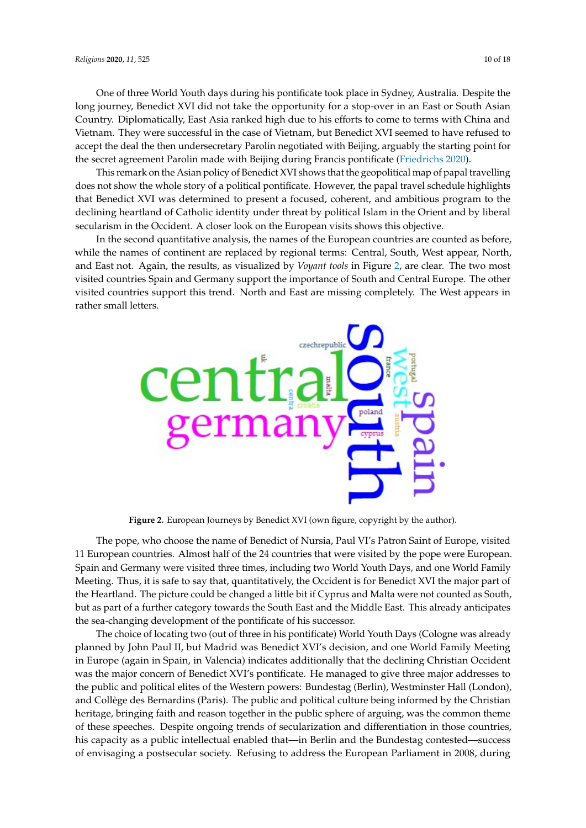One of three World Youth days during his pontificate took place in Sydney, Australia. Despite the long journey, Benedict XVI did not take the opportunity for a stop-over in an East or South Asian Country. Diplomatically, East Asia ranked high due to his efforts to come to terms with China and Vietnam. They were successful in the case of Vietnam, but Benedict XVI seemed to have refused to accept the deal the then undersecretary Parolin negotiated with Beijing, arguably the starting point for the secret agreement Parolin made with Beijing during Francis pontificate [\(Friedrichs](#page-16-18) [2020\)](#page-16-18).

This remark on the Asian policy of Benedict XVI shows that the geopolitical map of papal travelling does not show the whole story of a political pontificate. However, the papal travel schedule highlights that  $\frac{1}{2}$ that Benedict XVI was determined to present a focused, coherent, and ambitious program to the declining heartland of Catholic identity under threat by political Islam in the Orient and by liberal secularism in the Occident. A closer look on the European visits shows this objective.

In the second quantitative analysis, the names of the European countries are counted as before, while the names of continent are replaced by regional terms: Central, South, West appear, North, and East not. Again, the results, as visualized by *Voyant tools* in Figure [2,](#page-9-0) are clear. The two most visited countries Spain and Germany support the importance of South and Central Europe. The other visited countries support this trend. North and East are missing completely. The West appears in rather small letters.

<span id="page-9-0"></span>

**Figure 2.** European Journeys by Benedict XVI (own figure, copyright by the author). **Figure 2.** European Journeys by Benedict XVI (own figure, copyright by the author).

The pope, who choose the name of Benedict of Nursia, Paul VI's Patron Saint of Europe, visited 11 European countries. Almost half of the 24 countries that were visited by the pope were European. 11 European countries. Almost half of the 24 countries that were visited by the pope were European. Spain and Germany were visited three times, including two World Youth Days, and one World Family Spain and Germany were visited three times, including two World Youth Days of the World Youth Days, and one world of Meeting. Thus, it is safe to say that, quantitatively, the Occident is for Benedict XVI the major part of<br>the Unitles de Thus, it issues say that, quantitatively, the Occident is for Benedict XVI the major part of so part of the Heartland. The Heartland be changed a little bit if Cyprus and Malta Bit is changed a little bit i<br>In the counted of the little were not counted by the Cyprus and Malta Wild in First This change is continued to but as part of a further category towards the South East and the Middle East. This already anticipates<br>the second results already waves to the montified a this accessory. The pope, who choose the name of Benedict of Nursia, Paul VI's Patron Saint of Europe, visited the Heartland. The picture could be changed a little bit if Cyprus and Malta were not counted as South, the sea-changing development of the pontificate of his successor.

The choice of locating two (out of three in his pontificate) World Youth Days (Cologne was already The choice of locating two (out of three in his pontificate) World Youth Days (Cologne was planned by John Paul II, but Madrid was Benedict XVI's decision, and one World Family Meeting planned by John Paul II, but Madrid was Benedict XVI's decision, and one World Family Meeting<br>in Europe (again in Spain, in Valencia) indicates additionally that the declining Christian Occident Meeting in Europe (again in Spain, in Valencia) indicates additionally that the declining Christian was the major concern of Benedict XVI's pontificate. He managed to give three major addresses to was the major concern of Benedict XVI's pontificate. The managed to give three major detailed be to the public and political elites of the Western powers: Bundestag (Berlin), Westminster Hall (London), and Collège des Bernardins (Paris). The public and political culture being informed by the Christian and Collège des Bernardins (Paris). The public and political culture being informed by the Christian and Conege des Bernardins (Paris). The public and political culture being informed by the Christian<br>heritage, bringing faith and reason together in the public sphere of arguing, was the common theme by the Christian heritage, bringing faith and reason together in the public sphere of arguing, was the of these speeches. Despite ongoing trends of secularization and differentiation in those countries, of these speeches. Despite ongoing trends of secularization and differentiation in those countries, his capacity as a public intellectual enabled that—in Berlin and the Bundestag contested—success those copies of a public intellectual entired that—in Berlin and the Bundestag contested success of envisaging a postsecular society. Refusing to address the European Parliament in 2008, during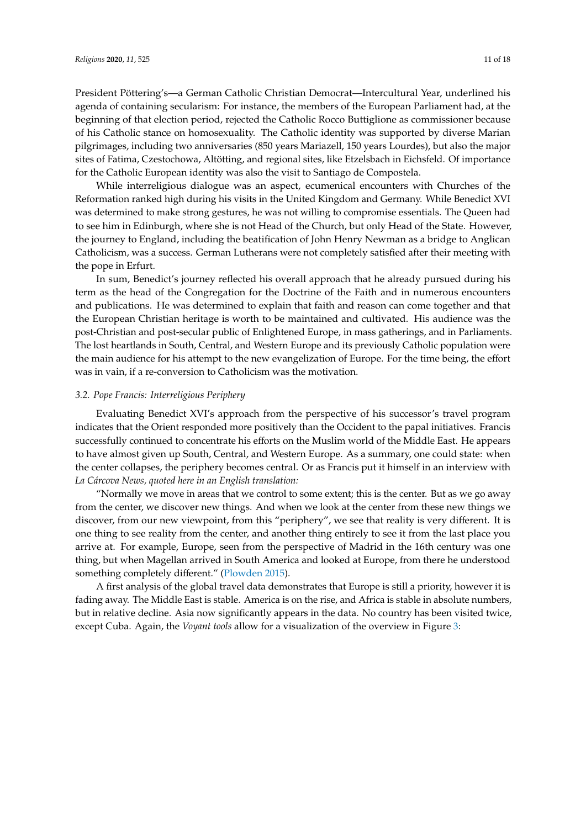President Pöttering's—a German Catholic Christian Democrat—Intercultural Year, underlined his agenda of containing secularism: For instance, the members of the European Parliament had, at the beginning of that election period, rejected the Catholic Rocco Buttiglione as commissioner because of his Catholic stance on homosexuality. The Catholic identity was supported by diverse Marian pilgrimages, including two anniversaries (850 years Mariazell, 150 years Lourdes), but also the major sites of Fatima, Czestochowa, Altötting, and regional sites, like Etzelsbach in Eichsfeld. Of importance for the Catholic European identity was also the visit to Santiago de Compostela.

While interreligious dialogue was an aspect, ecumenical encounters with Churches of the Reformation ranked high during his visits in the United Kingdom and Germany. While Benedict XVI was determined to make strong gestures, he was not willing to compromise essentials. The Queen had to see him in Edinburgh, where she is not Head of the Church, but only Head of the State. However, the journey to England, including the beatification of John Henry Newman as a bridge to Anglican Catholicism, was a success. German Lutherans were not completely satisfied after their meeting with the pope in Erfurt.

In sum, Benedict's journey reflected his overall approach that he already pursued during his term as the head of the Congregation for the Doctrine of the Faith and in numerous encounters and publications. He was determined to explain that faith and reason can come together and that the European Christian heritage is worth to be maintained and cultivated. His audience was the post-Christian and post-secular public of Enlightened Europe, in mass gatherings, and in Parliaments. The lost heartlands in South, Central, and Western Europe and its previously Catholic population were the main audience for his attempt to the new evangelization of Europe. For the time being, the effort was in vain, if a re-conversion to Catholicism was the motivation.

## *3.2. Pope Francis: Interreligious Periphery*

Evaluating Benedict XVI's approach from the perspective of his successor's travel program indicates that the Orient responded more positively than the Occident to the papal initiatives. Francis successfully continued to concentrate his efforts on the Muslim world of the Middle East. He appears to have almost given up South, Central, and Western Europe. As a summary, one could state: when the center collapses, the periphery becomes central. Or as Francis put it himself in an interview with *La Cárcova News, quoted here in an English translation:*

"Normally we move in areas that we control to some extent; this is the center. But as we go away from the center, we discover new things. And when we look at the center from these new things we discover, from our new viewpoint, from this "periphery", we see that reality is very different. It is one thing to see reality from the center, and another thing entirely to see it from the last place you arrive at. For example, Europe, seen from the perspective of Madrid in the 16th century was one thing, but when Magellan arrived in South America and looked at Europe, from there he understood something completely different." [\(Plowden](#page-16-23) [2015\)](#page-16-23).

A first analysis of the global travel data demonstrates that Europe is still a priority, however it is fading away. The Middle East is stable. America is on the rise, and Africa is stable in absolute numbers, but in relative decline. Asia now significantly appears in the data. No country has been visited twice, except Cuba. Again, the *Voyant tools* allow for a visualization of the overview in Figure [3:](#page-11-0)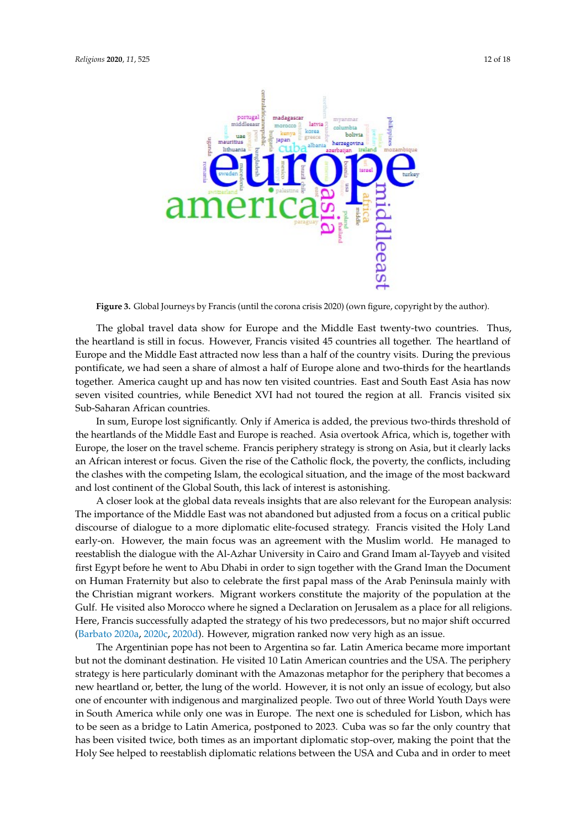<span id="page-11-0"></span>

**Figure 3.** Global Journeys by Francis (until the corona crisis 2020) (own figure, copyright by the author).

The global travel data show for Europe and the Middle East twenty-two countries. Thus, the heartland is still in focus. However, Francis visited 45 countries all together. The heartland of Europe and the Middle East attracted now less than a half of the country visits. During the previous pontificate, we had seen a share of almost a half of Europe alone and two-thirds for the heartlands together. America caught up and has now ten visited countries. East and South East Asia has now seven visited countries, while Benedict XVI had not toured the region at all. Francis visited six Sub-Saharan African countries.

In sum, Europe lost significantly. Only if America is added, the previous two-thirds threshold of the heartlands of the Middle East and Europe is reached. Asia overtook Africa, which is, together with Europe, the loser on the travel scheme. Francis periphery strategy is strong on Asia, but it clearly lacks an African interest or focus. Given the rise of the Catholic flock, the poverty, the conflicts, including the clashes with the competing Islam, the ecological situation, and the image of the most backward and lost continent of the Global South, this lack of interest is astonishing.

A closer look at the global data reveals insights that are also relevant for the European analysis: The importance of the Middle East was not abandoned but adjusted from a focus on a critical public discourse of dialogue to a more diplomatic elite-focused strategy. Francis visited the Holy Land early-on. However, the main focus was an agreement with the Muslim world. He managed to reestablish the dialogue with the Al-Azhar University in Cairo and Grand Imam al-Tayyeb and visited first Egypt before he went to Abu Dhabi in order to sign together with the Grand Iman the Document on Human Fraternity but also to celebrate the first papal mass of the Arab Peninsula mainly with the Christian migrant workers. Migrant workers constitute the majority of the population at the Gulf. He visited also Morocco where he signed a Declaration on Jerusalem as a place for all religions. Here, Francis successfully adapted the strategy of his two predecessors, but no major shift occurred [\(Barbato](#page-15-23) [2020a,](#page-15-23) [2020c,](#page-15-16) [2020d\)](#page-15-17). However, migration ranked now very high as an issue.

The Argentinian pope has not been to Argentina so far. Latin America became more important but not the dominant destination. He visited 10 Latin American countries and the USA. The periphery strategy is here particularly dominant with the Amazonas metaphor for the periphery that becomes a new heartland or, better, the lung of the world. However, it is not only an issue of ecology, but also one of encounter with indigenous and marginalized people. Two out of three World Youth Days were in South America while only one was in Europe. The next one is scheduled for Lisbon, which has to be seen as a bridge to Latin America, postponed to 2023. Cuba was so far the only country that has been visited twice, both times as an important diplomatic stop-over, making the point that the Holy See helped to reestablish diplomatic relations between the USA and Cuba and in order to meet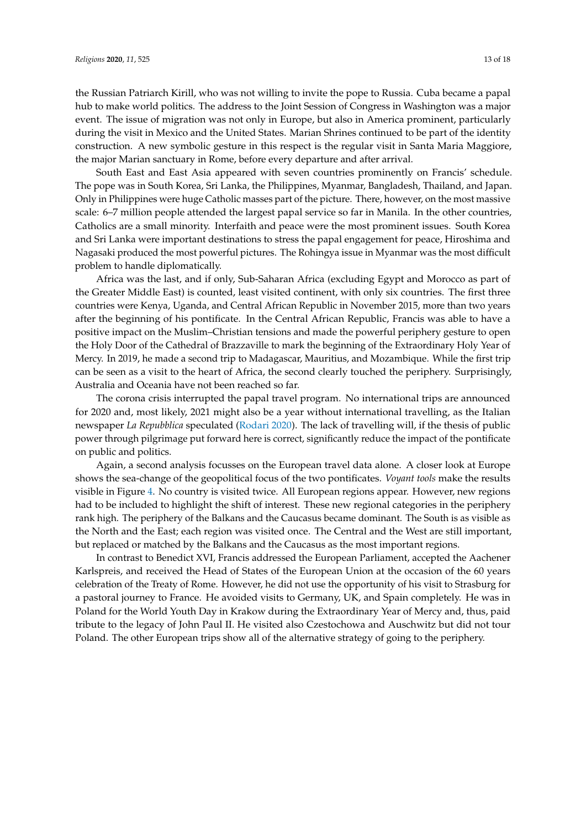the Russian Patriarch Kirill, who was not willing to invite the pope to Russia. Cuba became a papal hub to make world politics. The address to the Joint Session of Congress in Washington was a major event. The issue of migration was not only in Europe, but also in America prominent, particularly during the visit in Mexico and the United States. Marian Shrines continued to be part of the identity construction. A new symbolic gesture in this respect is the regular visit in Santa Maria Maggiore, the major Marian sanctuary in Rome, before every departure and after arrival.

South East and East Asia appeared with seven countries prominently on Francis' schedule. The pope was in South Korea, Sri Lanka, the Philippines, Myanmar, Bangladesh, Thailand, and Japan. Only in Philippines were huge Catholic masses part of the picture. There, however, on the most massive scale: 6–7 million people attended the largest papal service so far in Manila. In the other countries, Catholics are a small minority. Interfaith and peace were the most prominent issues. South Korea and Sri Lanka were important destinations to stress the papal engagement for peace, Hiroshima and Nagasaki produced the most powerful pictures. The Rohingya issue in Myanmar was the most difficult problem to handle diplomatically.

Africa was the last, and if only, Sub-Saharan Africa (excluding Egypt and Morocco as part of the Greater Middle East) is counted, least visited continent, with only six countries. The first three countries were Kenya, Uganda, and Central African Republic in November 2015, more than two years after the beginning of his pontificate. In the Central African Republic, Francis was able to have a positive impact on the Muslim–Christian tensions and made the powerful periphery gesture to open the Holy Door of the Cathedral of Brazzaville to mark the beginning of the Extraordinary Holy Year of Mercy. In 2019, he made a second trip to Madagascar, Mauritius, and Mozambique. While the first trip can be seen as a visit to the heart of Africa, the second clearly touched the periphery. Surprisingly, Australia and Oceania have not been reached so far.

The corona crisis interrupted the papal travel program. No international trips are announced for 2020 and, most likely, 2021 might also be a year without international travelling, as the Italian newspaper *La Repubblica* speculated [\(Rodari](#page-16-24) [2020\)](#page-16-24). The lack of travelling will, if the thesis of public power through pilgrimage put forward here is correct, significantly reduce the impact of the pontificate on public and politics.

Again, a second analysis focusses on the European travel data alone. A closer look at Europe shows the sea-change of the geopolitical focus of the two pontificates. *Voyant tools* make the results visible in Figure [4.](#page-13-0) No country is visited twice. All European regions appear. However, new regions had to be included to highlight the shift of interest. These new regional categories in the periphery rank high. The periphery of the Balkans and the Caucasus became dominant. The South is as visible as the North and the East; each region was visited once. The Central and the West are still important, but replaced or matched by the Balkans and the Caucasus as the most important regions.

In contrast to Benedict XVI, Francis addressed the European Parliament, accepted the Aachener Karlspreis, and received the Head of States of the European Union at the occasion of the 60 years celebration of the Treaty of Rome. However, he did not use the opportunity of his visit to Strasburg for a pastoral journey to France. He avoided visits to Germany, UK, and Spain completely. He was in Poland for the World Youth Day in Krakow during the Extraordinary Year of Mercy and, thus, paid tribute to the legacy of John Paul II. He visited also Czestochowa and Auschwitz but did not tour Poland. The other European trips show all of the alternative strategy of going to the periphery.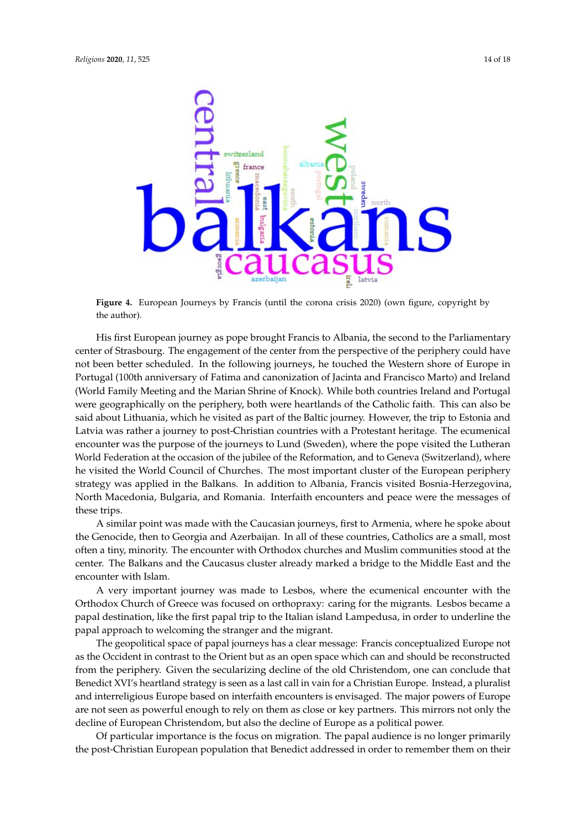<span id="page-13-0"></span>

Figure 4. European Journeys by Francis (until the corona crisis 2020) (own figure, copyright by author). the author).

His first European journey as pope brought Francis to Albania, the second to the Parliamentary center of Strasbourg. The engagement of the center from the perspective of the periphery could have not been better scheduled. In the following journeys, he touched the Western shore of Europe in Portugal (100th anniversary of Fatima and canonization of Jacinta and Francisco Marto) and Ireland (World Family Meeting and the Marian Shrine of Knock). While both countries Ireland and Portugal were geographically on the periphery, both were heartlands of the Catholic faith. This can also be said about Lithuania, which he visited as part of the Baltic journey. However, the trip to Estonia and Latvia was rather a journey to post-Christian countries with a Protestant heritage. The ecumenical encounter was the purpose of the journeys to Lund (Sweden), where the pope visited the Lutheran World Federation at the occasion of the jubilee of the Reformation, and to Geneva (Switzerland), where he visited the World Council of Churches. The most important cluster of the European periphery strategy was applied in the Balkans. In addition to Albania, Francis visited Bosnia-Herzegovina, North Macedonia, Bulgaria, and Romania. Interfaith encounters and peace were the messages of salat about Lithuania, which he visited as part of the Baltic journey. However, the trip to Estonia and the trip to Estonia and the trip to Estonia and the trip to Estonia and the trip to Estonia and the trip to Estonia an these trips.

A similar point was made with the Caucasian journeys, first to Armenia, where he spoke about the Genocide, then to Georgia and Azerbaijan. In all of these countries, Catholics are a small, most often a tiny, minority. The encounter with Orthodox churches and Muslim communities stood at the center. The Balkans and the Caucasus cluster already marked a bridge to the Middle East and the encounter with Islam.

A very important journey was made to Lesbos, where the ecumenical encounter with the Orthodox Church of Greece was focused on orthopraxy: caring for the migrants. Lesbos became a papal destination, like the first papal trip to the Italian island Lampedusa, in order to underline the papal approach to welcoming the stranger and the migrant.

The geopolitical space of papal journeys has a clear message: Francis conceptualized Europe not as the Occident in contrast to the Orient but as an open space which can and should be reconstructed from the periphery. Given the secularizing decline of the old Christendom, one can conclude that Benedict XVI's heartland strategy is seen as a last call in vain for a Christian Europe. Instead, a pluralist and interreligious Europe based on interfaith encounters is envisaged. The major powers of Europe are not seen as powerful enough to rely on them as close or key partners. This mirrors not only the decline of European Christendom, but also the decline of Europe as a political power.

Of particular importance is the focus on migration. The papal audience is no longer primarily the post-Christian European population that Benedict addressed in order to remember them on their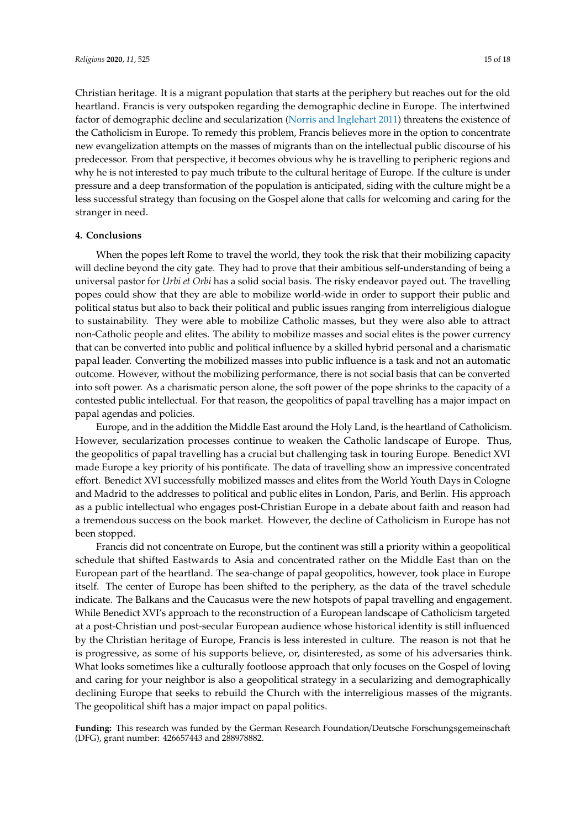Christian heritage. It is a migrant population that starts at the periphery but reaches out for the old heartland. Francis is very outspoken regarding the demographic decline in Europe. The intertwined factor of demographic decline and secularization [\(Norris and Inglehart](#page-16-25) [2011\)](#page-16-25) threatens the existence of the Catholicism in Europe. To remedy this problem, Francis believes more in the option to concentrate new evangelization attempts on the masses of migrants than on the intellectual public discourse of his predecessor. From that perspective, it becomes obvious why he is travelling to peripheric regions and why he is not interested to pay much tribute to the cultural heritage of Europe. If the culture is under pressure and a deep transformation of the population is anticipated, siding with the culture might be a less successful strategy than focusing on the Gospel alone that calls for welcoming and caring for the

#### **4. Conclusions**

stranger in need.

When the popes left Rome to travel the world, they took the risk that their mobilizing capacity will decline beyond the city gate. They had to prove that their ambitious self-understanding of being a universal pastor for *Urbi et Orbi* has a solid social basis. The risky endeavor payed out. The travelling popes could show that they are able to mobilize world-wide in order to support their public and political status but also to back their political and public issues ranging from interreligious dialogue to sustainability. They were able to mobilize Catholic masses, but they were also able to attract non-Catholic people and elites. The ability to mobilize masses and social elites is the power currency that can be converted into public and political influence by a skilled hybrid personal and a charismatic papal leader. Converting the mobilized masses into public influence is a task and not an automatic outcome. However, without the mobilizing performance, there is not social basis that can be converted into soft power. As a charismatic person alone, the soft power of the pope shrinks to the capacity of a contested public intellectual. For that reason, the geopolitics of papal travelling has a major impact on papal agendas and policies.

Europe, and in the addition the Middle East around the Holy Land, is the heartland of Catholicism. However, secularization processes continue to weaken the Catholic landscape of Europe. Thus, the geopolitics of papal travelling has a crucial but challenging task in touring Europe. Benedict XVI made Europe a key priority of his pontificate. The data of travelling show an impressive concentrated effort. Benedict XVI successfully mobilized masses and elites from the World Youth Days in Cologne and Madrid to the addresses to political and public elites in London, Paris, and Berlin. His approach as a public intellectual who engages post-Christian Europe in a debate about faith and reason had a tremendous success on the book market. However, the decline of Catholicism in Europe has not been stopped.

Francis did not concentrate on Europe, but the continent was still a priority within a geopolitical schedule that shifted Eastwards to Asia and concentrated rather on the Middle East than on the European part of the heartland. The sea-change of papal geopolitics, however, took place in Europe itself. The center of Europe has been shifted to the periphery, as the data of the travel schedule indicate. The Balkans and the Caucasus were the new hotspots of papal travelling and engagement. While Benedict XVI's approach to the reconstruction of a European landscape of Catholicism targeted at a post-Christian und post-secular European audience whose historical identity is still influenced by the Christian heritage of Europe, Francis is less interested in culture. The reason is not that he is progressive, as some of his supports believe, or, disinterested, as some of his adversaries think. What looks sometimes like a culturally footloose approach that only focuses on the Gospel of loving and caring for your neighbor is also a geopolitical strategy in a secularizing and demographically declining Europe that seeks to rebuild the Church with the interreligious masses of the migrants. The geopolitical shift has a major impact on papal politics.

**Funding:** This research was funded by the German Research Foundation/Deutsche Forschungsgemeinschaft (DFG), grant number: 426657443 and 288978882.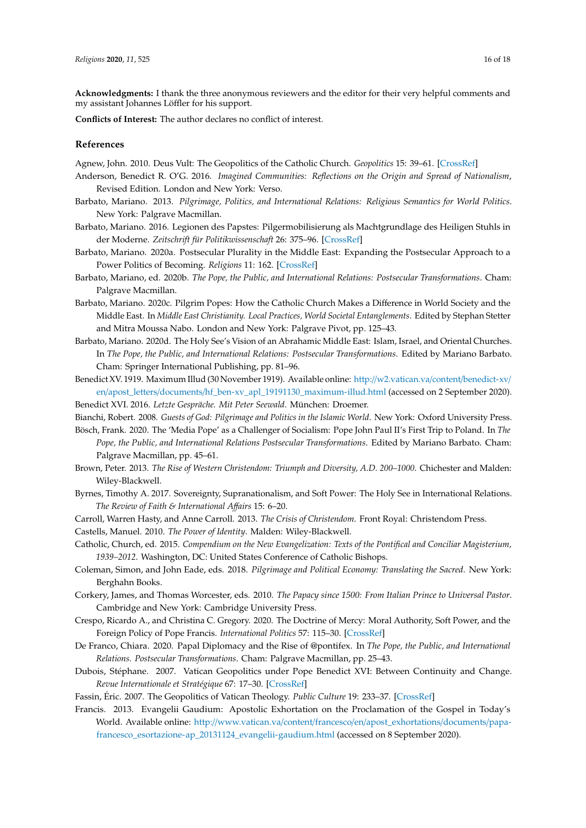**Acknowledgments:** I thank the three anonymous reviewers and the editor for their very helpful comments and my assistant Johannes Löffler for his support.

**Conflicts of Interest:** The author declares no conflict of interest.

# **References**

<span id="page-15-2"></span>Agnew, John. 2010. Deus Vult: The Geopolitics of the Catholic Church. *Geopolitics* 15: 39–61. [\[CrossRef\]](http://dx.doi.org/10.1080/14650040903420388)

- <span id="page-15-7"></span>Anderson, Benedict R. O'G. 2016. *Imagined Communities: Reflections on the Origin and Spread of Nationalism*, Revised Edition. London and New York: Verso.
- <span id="page-15-10"></span>Barbato, Mariano. 2013. *Pilgrimage, Politics, and International Relations: Religious Semantics for World Politics*. New York: Palgrave Macmillan.
- <span id="page-15-12"></span>Barbato, Mariano. 2016. Legionen des Papstes: Pilgermobilisierung als Machtgrundlage des Heiligen Stuhls in der Moderne. *Zeitschrift für Politikwissenschaft* 26: 375–96. [\[CrossRef\]](http://dx.doi.org/10.1007/s41358-016-0064-x)
- <span id="page-15-23"></span>Barbato, Mariano. 2020a. Postsecular Plurality in the Middle East: Expanding the Postsecular Approach to a Power Politics of Becoming. *Religions* 11: 162. [\[CrossRef\]](http://dx.doi.org/10.3390/rel11040162)
- <span id="page-15-13"></span>Barbato, Mariano, ed. 2020b. *The Pope, the Public, and International Relations: Postsecular Transformations*. Cham: Palgrave Macmillan.
- <span id="page-15-16"></span>Barbato, Mariano. 2020c. Pilgrim Popes: How the Catholic Church Makes a Difference in World Society and the Middle East. In *Middle East Christianity. Local Practices, World Societal Entanglements*. Edited by Stephan Stetter and Mitra Moussa Nabo. London and New York: Palgrave Pivot, pp. 125–43.
- <span id="page-15-17"></span>Barbato, Mariano. 2020d. The Holy See's Vision of an Abrahamic Middle East: Islam, Israel, and Oriental Churches. In *The Pope, the Public, and International Relations: Postsecular Transformations*. Edited by Mariano Barbato. Cham: Springer International Publishing, pp. 81–96.
- <span id="page-15-18"></span>Benedict XV. 1919. Maximum Illud (30 November 1919). Available online: http://[w2.vatican.va](http://w2.vatican.va/content/benedict-xv/en/apost_letters/documents/hf_ben-xv_apl_19191130_maximum-illud.html)/content/benedict-xv/ en/apost\_letters/documents/[hf\\_ben-xv\\_apl\\_19191130\\_maximum-illud.html](http://w2.vatican.va/content/benedict-xv/en/apost_letters/documents/hf_ben-xv_apl_19191130_maximum-illud.html) (accessed on 2 September 2020).
- <span id="page-15-22"></span>Benedict XVI. 2016. *Letzte Gespräche. Mit Peter Seewald*. München: Droemer.
- <span id="page-15-8"></span>Bianchi, Robert. 2008. *Guests of God: Pilgrimage and Politics in the Islamic World*. New York: Oxford University Press.
- <span id="page-15-15"></span>Bösch, Frank. 2020. The 'Media Pope' as a Challenger of Socialism: Pope John Paul II's First Trip to Poland. In *The Pope, the Public, and International Relations Postsecular Transformations*. Edited by Mariano Barbato. Cham: Palgrave Macmillan, pp. 45–61.
- <span id="page-15-20"></span>Brown, Peter. 2013. *The Rise of Western Christendom: Triumph and Diversity, A.D. 200–1000*. Chichester and Malden: Wiley-Blackwell.
- <span id="page-15-5"></span>Byrnes, Timothy A. 2017. Sovereignty, Supranationalism, and Soft Power: The Holy See in International Relations. *The Review of Faith & International A*ff*airs* 15: 6–20.
- <span id="page-15-21"></span>Carroll, Warren Hasty, and Anne Carroll. 2013. *The Crisis of Christendom*. Front Royal: Christendom Press.
- <span id="page-15-9"></span>Castells, Manuel. 2010. *The Power of Identity*. Malden: Wiley-Blackwell.
- <span id="page-15-0"></span>Catholic, Church, ed. 2015. *Compendium on the New Evangelization: Texts of the Pontifical and Conciliar Magisterium, 1939–2012*. Washington, DC: United States Conference of Catholic Bishops.
- <span id="page-15-11"></span>Coleman, Simon, and John Eade, eds. 2018. *Pilgrimage and Political Economy: Translating the Sacred*. New York: Berghahn Books.
- <span id="page-15-1"></span>Corkery, James, and Thomas Worcester, eds. 2010. *The Papacy since 1500: From Italian Prince to Universal Pastor*. Cambridge and New York: Cambridge University Press.
- <span id="page-15-14"></span>Crespo, Ricardo A., and Christina C. Gregory. 2020. The Doctrine of Mercy: Moral Authority, Soft Power, and the Foreign Policy of Pope Francis. *International Politics* 57: 115–30. [\[CrossRef\]](http://dx.doi.org/10.1057/s41311-019-00187-7)
- <span id="page-15-6"></span>De Franco, Chiara. 2020. Papal Diplomacy and the Rise of @pontifex. In *The Pope, the Public, and International Relations. Postsecular Transformations*. Cham: Palgrave Macmillan, pp. 25–43.
- <span id="page-15-3"></span>Dubois, Stéphane. 2007. Vatican Geopolitics under Pope Benedict XVI: Between Continuity and Change. *Revue Internationale et Stratégique* 67: 17–30. [\[CrossRef\]](http://dx.doi.org/10.3917/ris.067.0017)
- <span id="page-15-4"></span>Fassin, Éric. 2007. The Geopolitics of Vatican Theology. *Public Culture* 19: 233–37. [\[CrossRef\]](http://dx.doi.org/10.1215/08992363-2006-033)
- <span id="page-15-19"></span>Francis. 2013. Evangelii Gaudium: Apostolic Exhortation on the Proclamation of the Gospel in Today's World. Available online: http://www.vatican.va/content/francesco/en/[apost\\_exhortations](http://www.vatican.va/content/francesco/en/apost_exhortations/documents/papa-francesco_esortazione-ap_20131124_evangelii-gaudium.html)/documents/papa[francesco\\_esortazione-ap\\_20131124\\_evangelii-gaudium.html](http://www.vatican.va/content/francesco/en/apost_exhortations/documents/papa-francesco_esortazione-ap_20131124_evangelii-gaudium.html) (accessed on 8 September 2020).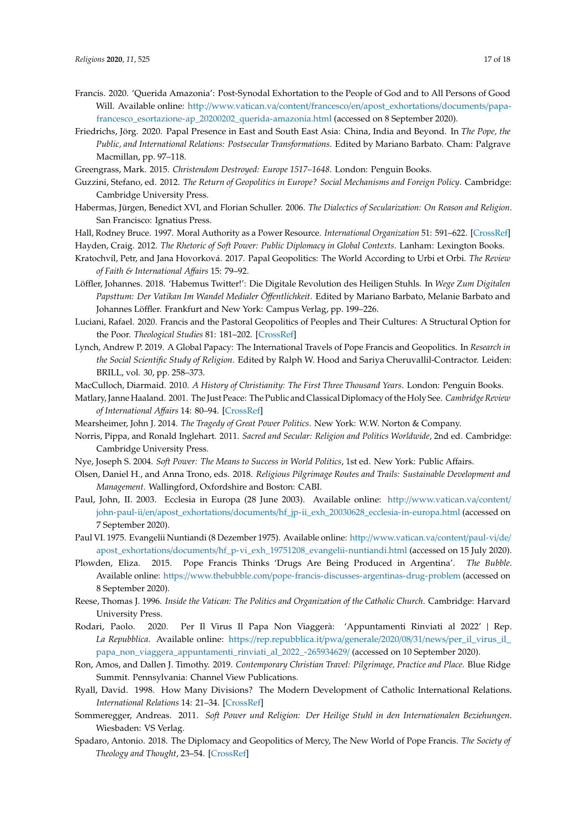- <span id="page-16-11"></span>Francis. 2020. 'Querida Amazonia': Post-Synodal Exhortation to the People of God and to All Persons of Good Will. Available online: http://www.vatican.va/content/francesco/en/[apost\\_exhortations](http://www.vatican.va/content/francesco/en/apost_exhortations/documents/papa-francesco_esortazione-ap_20200202_querida-amazonia.html)/documents/papa[francesco\\_esortazione-ap\\_20200202\\_querida-amazonia.html](http://www.vatican.va/content/francesco/en/apost_exhortations/documents/papa-francesco_esortazione-ap_20200202_querida-amazonia.html) (accessed on 8 September 2020).
- <span id="page-16-18"></span>Friedrichs, Jörg. 2020. Papal Presence in East and South East Asia: China, India and Beyond. In *The Pope, the Public, and International Relations: Postsecular Transformations*. Edited by Mariano Barbato. Cham: Palgrave Macmillan, pp. 97–118.
- <span id="page-16-22"></span>Greengrass, Mark. 2015. *Christendom Destroyed: Europe 1517–1648*. London: Penguin Books.
- <span id="page-16-2"></span>Guzzini, Stefano, ed. 2012. *The Return of Geopolitics in Europe? Social Mechanisms and Foreign Policy*. Cambridge: Cambridge University Press.
- <span id="page-16-14"></span>Habermas, Jürgen, Benedict XVI, and Florian Schuller. 2006. *The Dialectics of Secularization: On Reason and Religion*. San Francisco: Ignatius Press.
- <span id="page-16-21"></span><span id="page-16-7"></span>Hall, Rodney Bruce. 1997. Moral Authority as a Power Resource. *International Organization* 51: 591–622. [\[CrossRef\]](http://dx.doi.org/10.1162/002081897550465)
- Hayden, Craig. 2012. *The Rhetoric of Soft Power: Public Diplomacy in Global Contexts*. Lanham: Lexington Books.
- <span id="page-16-3"></span>Kratochvíl, Petr, and Jana Hovorková. 2017. Papal Geopolitics: The World According to Urbi et Orbi. *The Review of Faith & International A*ff*airs* 15: 79–92.
- <span id="page-16-13"></span>Löffler, Johannes. 2018. 'Habemus Twitter!': Die Digitale Revolution des Heiligen Stuhls. In *Wege Zum Digitalen Papsttum: Der Vatikan Im Wandel Medialer Ö*ff*entlichkeit*. Edited by Mariano Barbato, Melanie Barbato and Johannes Löffler. Frankfurt and New York: Campus Verlag, pp. 199–226.
- <span id="page-16-4"></span>Luciani, Rafael. 2020. Francis and the Pastoral Geopolitics of Peoples and Their Cultures: A Structural Option for the Poor. *Theological Studies* 81: 181–202. [\[CrossRef\]](http://dx.doi.org/10.1177/0040563920906135)
- <span id="page-16-5"></span>Lynch, Andrew P. 2019. A Global Papacy: The International Travels of Pope Francis and Geopolitics. In *Research in the Social Scientific Study of Religion*. Edited by Ralph W. Hood and Sariya Cheruvallil-Contractor. Leiden: BRILL, vol. 30, pp. 258–373.
- <span id="page-16-15"></span>MacCulloch, Diarmaid. 2010. *A History of Christianity: The First Three Thousand Years*. London: Penguin Books.
- <span id="page-16-9"></span>Matlary, Janne Haaland. 2001. The Just Peace: The Public and Classical Diplomacy of the Holy See. *Cambridge Review of International A*ff*airs* 14: 80–94. [\[CrossRef\]](http://dx.doi.org/10.1080/09557570108400358)
- <span id="page-16-20"></span>Mearsheimer, John J. 2014. *The Tragedy of Great Power Politics*. New York: W.W. Norton & Company.
- <span id="page-16-25"></span>Norris, Pippa, and Ronald Inglehart. 2011. *Sacred and Secular: Religion and Politics Worldwide*, 2nd ed. Cambridge: Cambridge University Press.
- <span id="page-16-16"></span><span id="page-16-8"></span>Nye, Joseph S. 2004. *Soft Power: The Means to Success in World Politics*, 1st ed. New York: Public Affairs.
- Olsen, Daniel H., and Anna Trono, eds. 2018. *Religious Pilgrimage Routes and Trails: Sustainable Development and Management*. Wallingford, Oxfordshire and Boston: CABI.
- <span id="page-16-1"></span>Paul, John, II. 2003. Ecclesia in Europa (28 June 2003). Available online: http://[www.vatican.va](http://www.vatican.va/content/john-paul-ii/en/apost_exhortations/documents/hf_jp-ii_exh_20030628_ecclesia-in-europa.html)/content/ john-paul-ii/en/apost\_exhortations/documents/[hf\\_jp-ii\\_exh\\_20030628\\_ecclesia-in-europa.html](http://www.vatican.va/content/john-paul-ii/en/apost_exhortations/documents/hf_jp-ii_exh_20030628_ecclesia-in-europa.html) (accessed on 7 September 2020).
- <span id="page-16-0"></span>Paul VI. 1975. Evangelii Nuntiandi (8 Dezember 1975). Available online: http://[www.vatican.va](http://www.vatican.va/content/paul-vi/de/apost_exhortations/documents/hf_p-vi_exh_19751208_evangelii-nuntiandi.html)/content/paul-vi/de/ apost\_exhortations/documents/[hf\\_p-vi\\_exh\\_19751208\\_evangelii-nuntiandi.html](http://www.vatican.va/content/paul-vi/de/apost_exhortations/documents/hf_p-vi_exh_19751208_evangelii-nuntiandi.html) (accessed on 15 July 2020).
- <span id="page-16-23"></span>Plowden, Eliza. 2015. Pope Francis Thinks 'Drugs Are Being Produced in Argentina'. *The Bubble*. Available online: https://www.thebubble.com/[pope-francis-discusses-argentinas-drug-problem](https://www.thebubble.com/pope-francis-discusses-argentinas-drug-problem) (accessed on 8 September 2020).
- <span id="page-16-12"></span>Reese, Thomas J. 1996. *Inside the Vatican: The Politics and Organization of the Catholic Church*. Cambridge: Harvard University Press.
- <span id="page-16-24"></span>Rodari, Paolo. 2020. Per Il Virus Il Papa Non Viaggerà: 'Appuntamenti Rinviati al 2022' | Rep. *La Repubblica*. Available online: https://[rep.repubblica.it](https://rep.repubblica.it/pwa/generale/2020/08/31/news/per_il_virus_il_papa_non_viaggera_appuntamenti_rinviati_al_2022_-265934629/)/pwa/generale/2020/08/31/news/per\_il\_virus\_il\_ [papa\\_non\\_viaggera\\_appuntamenti\\_rinviati\\_al\\_2022\\_-265934629](https://rep.repubblica.it/pwa/generale/2020/08/31/news/per_il_virus_il_papa_non_viaggera_appuntamenti_rinviati_al_2022_-265934629/)/ (accessed on 10 September 2020).
- <span id="page-16-17"></span>Ron, Amos, and Dallen J. Timothy. 2019. *Contemporary Christian Travel: Pilgrimage, Practice and Place*. Blue Ridge Summit. Pennsylvania: Channel View Publications.
- <span id="page-16-19"></span>Ryall, David. 1998. How Many Divisions? The Modern Development of Catholic International Relations. *International Relations* 14: 21–34. [\[CrossRef\]](http://dx.doi.org/10.1177/004711789801400202)
- <span id="page-16-10"></span>Sommeregger, Andreas. 2011. *Soft Power und Religion: Der Heilige Stuhl in den Internationalen Beziehungen*. Wiesbaden: VS Verlag.
- <span id="page-16-6"></span>Spadaro, Antonio. 2018. The Diplomacy and Geopolitics of Mercy, The New World of Pope Francis. *The Society of Theology and Thought*, 23–54. [\[CrossRef\]](http://dx.doi.org/10.21731/ctat.2018.81.23)